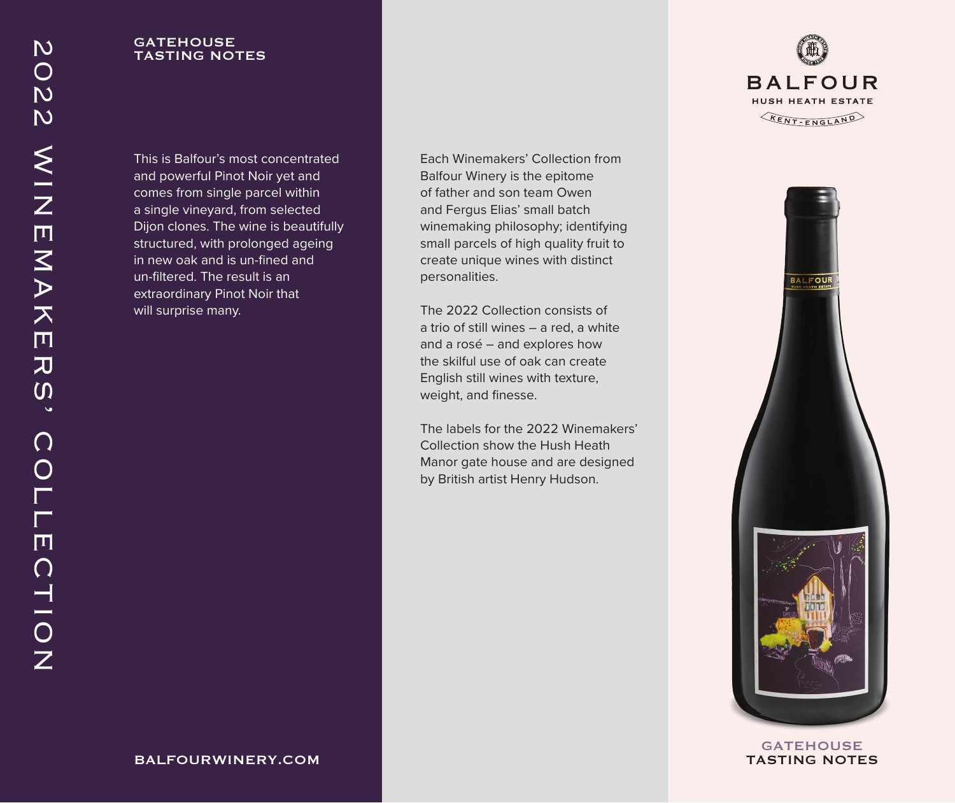# **GATEHOUSE** TASTING NOTES

This is Balfour's most concentrated and powerful Pinot Noir yet and comes from single parcel within a single vineyard, from selected Dijon clones. The wine is beautifully structured, with prolonged ageing in new oak and is un-fined and un-filtered. The result is an extraordinary Pinot Noir that will surprise many.

Each Winemakers' Collection from Balfour Winery is the epitome of father and son team Owen and Fergus Elias' small batch winemaking philosophy; identifying small parcels of high quality fruit to create unique wines with distinct personalities.

The 2022 Collection consists of a trio of still wines – a red, a white and a rosé – and explores how the skilful use of oak can create English still wines with texture, weight, and finesse.

The labels for the 2022 Winemakers' Collection show the Hush Heath Manor gate house and are designed by British artist Henry Hudson.





**GATEHOUSE** TASTING NOTES